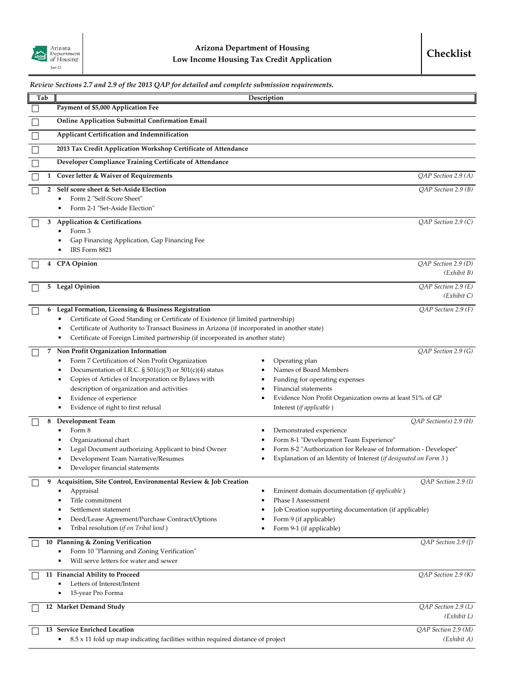|        |     | Review Sections 2.7 and 2.9 of the 2013 QAP for detailed and complete submission requirements.                 |                                                                                      |
|--------|-----|----------------------------------------------------------------------------------------------------------------|--------------------------------------------------------------------------------------|
|        | Tab |                                                                                                                | Description                                                                          |
|        |     | Payment of \$5,000 Application Fee                                                                             |                                                                                      |
|        |     | <b>Online Application Submittal Confirmation Email</b>                                                         |                                                                                      |
| Ш      |     | Applicant Certification and Indemnification                                                                    |                                                                                      |
| $\Box$ |     | 2013 Tax Credit Application Workshop Certificate of Attendance                                                 |                                                                                      |
|        |     | Developer Compliance Training Certificate of Attendance                                                        |                                                                                      |
|        |     | 1 Cover letter & Waiver of Requirements                                                                        | QAP Section 2.9 (A)                                                                  |
|        | 2   | Self score sheet & Set-Aside Election                                                                          | $QAP$ Section 2.9 (B)                                                                |
|        |     | Form 2 "Self-Score Sheet"                                                                                      |                                                                                      |
|        |     | Form 2-1 "Set-Aside Election"                                                                                  |                                                                                      |
|        | 3   | <b>Application &amp; Certifications</b>                                                                        | QAP Section 2.9 (C)                                                                  |
|        |     | Form 3<br>п                                                                                                    |                                                                                      |
|        |     | Gap Financing Application, Gap Financing Fee<br>IRS Form 8821                                                  |                                                                                      |
|        |     |                                                                                                                | QAP Section 2.9 (D)                                                                  |
|        | 4   | <b>CPA</b> Opinion                                                                                             | (Exhibit B)                                                                          |
|        | 5.  | <b>Legal Opinion</b>                                                                                           | QAP Section 2.9 (E)                                                                  |
|        |     |                                                                                                                | (Exhibit C)                                                                          |
|        | 6   | Legal Formation, Licensing & Business Registration                                                             | $QAP$ Section 2.9 (F)                                                                |
|        |     | Certificate of Good Standing or Certificate of Existence (if limited partnership)                              |                                                                                      |
|        |     | Certificate of Authority to Transact Business in Arizona (if incorporated in another state)                    |                                                                                      |
|        |     | Certificate of Foreign Limited partnership (if incorporated in another state)<br>$\blacksquare$                |                                                                                      |
|        | 7   | Non Profit Organization Information                                                                            | QAP Section 2.9 (G)                                                                  |
|        |     | Form 7 Certification of Non Profit Organization                                                                | Operating plan                                                                       |
|        |     | Documentation of I.R.C. $\S 501(c)(3)$ or $501(c)(4)$ status<br>г                                              | Names of Board Members                                                               |
|        |     | Copies of Articles of Incorporation or Bylaws with<br>п                                                        | Funding for operating expenses                                                       |
|        |     | description of organization and activities<br>Е                                                                | Financial statements                                                                 |
|        |     | Evidence of experience<br>Evidence of right to first refusal<br>٠                                              | Evidence Non Profit Organization owns at least 51% of GP<br>Interest (if applicable) |
|        |     |                                                                                                                |                                                                                      |
|        | 8   | <b>Development Team</b><br>Form 8                                                                              | $QAP$ Section(s) 2.9 (H)<br>Demonstrated experience                                  |
|        |     | Organizational chart                                                                                           | Form 8-1 "Development Team Experience"                                               |
|        |     | Legal Document authorizing Applicant to bind Owner                                                             | Form 8-2 "Authorization for Release of Information - Developer"                      |
|        |     | Development Team Narrative/Resumes                                                                             | Explanation of an Identity of Interest (if designated on Form 3)<br>٠                |
|        |     | Developer financial statements<br>٠                                                                            |                                                                                      |
|        | 9   | Acquisition, Site Control, Environmental Review & Job Creation                                                 | $QAP$ Section 2.9 (1)                                                                |
|        |     | Appraisal                                                                                                      | Eminent domain documentation ( <i>if applicable</i> )                                |
|        |     | Title commitment                                                                                               | <b>Phase I Assessment</b>                                                            |
|        |     | Settlement statement                                                                                           | Job Creation supporting documentation (if applicable)                                |
|        |     | Deed/Lease Agreement/Purchase Contract/Options<br>Е                                                            | Form 9 (if applicable)                                                               |
|        |     | Tribal resolution (if on Tribal land)<br>Е                                                                     | Form 9-1 (if applicable)                                                             |
|        |     | 10 Planning & Zoning Verification                                                                              | QAP Section 2.9 (J)                                                                  |
|        |     | Form 10 "Planning and Zoning Verification"<br>Will serve letters for water and sewer<br>$\blacksquare$         |                                                                                      |
|        |     |                                                                                                                |                                                                                      |
|        |     | 11 Financial Ability to Proceed                                                                                | QAP Section 2.9 (K)                                                                  |
|        |     | Letters of Interest/Intent<br>15-year Pro Forma                                                                |                                                                                      |
|        |     |                                                                                                                |                                                                                      |
|        |     | 12 Market Demand Study                                                                                         | QAP Section 2.9 (L)<br>(Exhibit L)                                                   |
|        |     |                                                                                                                |                                                                                      |
|        |     | 13 Service Enriched Location<br>8.5 x 11 fold up map indicating facilities within required distance of project | QAP Section 2.9 (M)<br>(Exhibit A)                                                   |
|        |     |                                                                                                                |                                                                                      |